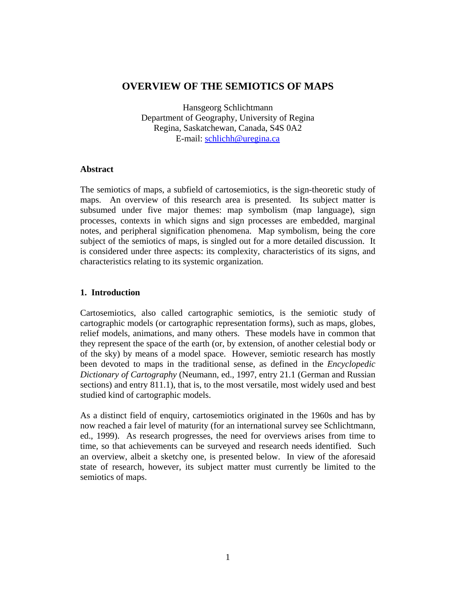# **OVERVIEW OF THE SEMIOTICS OF MAPS**

Hansgeorg Schlichtmann Department of Geography, University of Regina Regina, Saskatchewan, Canada, S4S 0A2 E-mail: schlichh@uregina.ca

## **Abstract**

The semiotics of maps, a subfield of cartosemiotics, is the sign-theoretic study of maps. An overview of this research area is presented. Its subject matter is subsumed under five major themes: map symbolism (map language), sign processes, contexts in which signs and sign processes are embedded, marginal notes, and peripheral signification phenomena. Map symbolism, being the core subject of the semiotics of maps, is singled out for a more detailed discussion. It is considered under three aspects: its complexity, characteristics of its signs, and characteristics relating to its systemic organization.

# **1. Introduction**

Cartosemiotics, also called cartographic semiotics, is the semiotic study of cartographic models (or cartographic representation forms), such as maps, globes, relief models, animations, and many others. These models have in common that they represent the space of the earth (or, by extension, of another celestial body or of the sky) by means of a model space. However, semiotic research has mostly been devoted to maps in the traditional sense, as defined in the *Encyclopedic Dictionary of Cartography* (Neumann, ed., 1997, entry 21.1 (German and Russian sections) and entry 811.1), that is, to the most versatile, most widely used and best studied kind of cartographic models.

As a distinct field of enquiry, cartosemiotics originated in the 1960s and has by now reached a fair level of maturity (for an international survey see Schlichtmann, ed., 1999). As research progresses, the need for overviews arises from time to time, so that achievements can be surveyed and research needs identified. Such an overview, albeit a sketchy one, is presented below. In view of the aforesaid state of research, however, its subject matter must currently be limited to the semiotics of maps.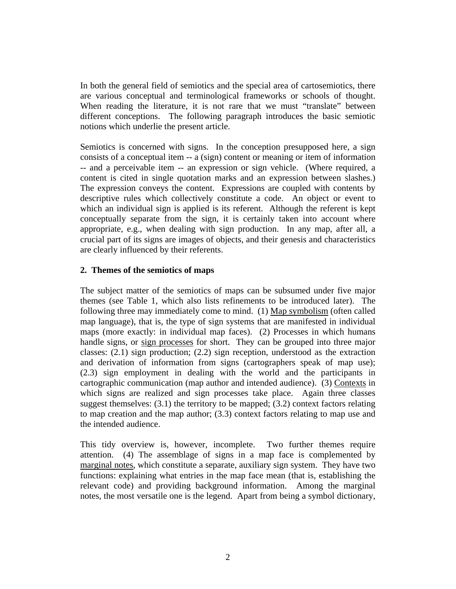In both the general field of semiotics and the special area of cartosemiotics, there are various conceptual and terminological frameworks or schools of thought. When reading the literature, it is not rare that we must "translate" between different conceptions. The following paragraph introduces the basic semiotic notions which underlie the present article.

Semiotics is concerned with signs. In the conception presupposed here, a sign consists of a conceptual item -- a (sign) content or meaning or item of information -- and a perceivable item -- an expression or sign vehicle. (Where required, a content is cited in single quotation marks and an expression between slashes.) The expression conveys the content. Expressions are coupled with contents by descriptive rules which collectively constitute a code. An object or event to which an individual sign is applied is its referent. Although the referent is kept conceptually separate from the sign, it is certainly taken into account where appropriate, e.g., when dealing with sign production. In any map, after all, a crucial part of its signs are images of objects, and their genesis and characteristics are clearly influenced by their referents.

## **2. Themes of the semiotics of maps**

The subject matter of the semiotics of maps can be subsumed under five major themes (see Table 1, which also lists refinements to be introduced later). The following three may immediately come to mind. (1) Map symbolism (often called map language), that is, the type of sign systems that are manifested in individual maps (more exactly: in individual map faces). (2) Processes in which humans handle signs, or sign processes for short. They can be grouped into three major classes: (2.1) sign production; (2.2) sign reception, understood as the extraction and derivation of information from signs (cartographers speak of map use); (2.3) sign employment in dealing with the world and the participants in cartographic communication (map author and intended audience). (3) Contexts in which signs are realized and sign processes take place. Again three classes suggest themselves: (3.1) the territory to be mapped; (3.2) context factors relating to map creation and the map author; (3.3) context factors relating to map use and the intended audience.

This tidy overview is, however, incomplete. Two further themes require attention. (4) The assemblage of signs in a map face is complemented by marginal notes, which constitute a separate, auxiliary sign system. They have two functions: explaining what entries in the map face mean (that is, establishing the relevant code) and providing background information. Among the marginal notes, the most versatile one is the legend. Apart from being a symbol dictionary,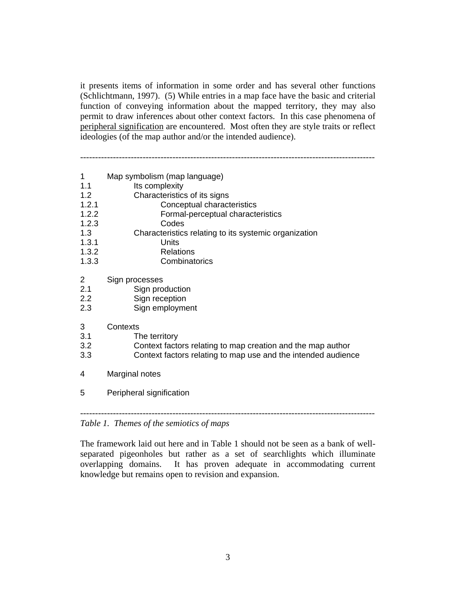it presents items of information in some order and has several other functions (Schlichtmann, 1997). (5) While entries in a map face have the basic and criterial function of conveying information about the mapped territory, they may also permit to draw inferences about other context factors. In this case phenomena of peripheral signification are encountered. Most often they are style traits or reflect ideologies (of the map author and/or the intended audience).

---------------------------------------------------------------------------------------------------

| 1                                        | Map symbolism (map language)                                  |
|------------------------------------------|---------------------------------------------------------------|
| 1.1                                      | Its complexity                                                |
| 1.2                                      | Characteristics of its signs                                  |
| 1.2.1                                    | Conceptual characteristics                                    |
| 1.2.2                                    | Formal-perceptual characteristics                             |
| 1.2.3                                    | Codes                                                         |
| 1.3                                      | Characteristics relating to its systemic organization         |
| 1.3.1                                    | Units                                                         |
| 1.3.2                                    | <b>Relations</b>                                              |
| 1.3.3                                    | Combinatorics                                                 |
| $\overline{2}$                           | Sign processes                                                |
| 2.1                                      | Sign production                                               |
| 2.2                                      | Sign reception                                                |
| 2.3                                      | Sign employment                                               |
| 3                                        | Contexts                                                      |
| 3.1                                      | The territory                                                 |
| 3.2                                      | Context factors relating to map creation and the map author   |
| 3.3                                      | Context factors relating to map use and the intended audience |
| 4                                        | Marginal notes                                                |
| 5                                        | Peripheral signification                                      |
| Table 1. Themes of the semiotics of maps |                                                               |

The framework laid out here and in Table 1 should not be seen as a bank of wellseparated pigeonholes but rather as a set of searchlights which illuminate overlapping domains. It has proven adequate in accommodating current knowledge but remains open to revision and expansion.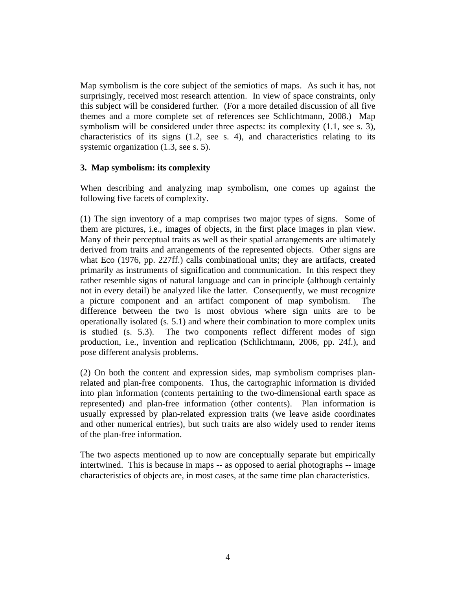Map symbolism is the core subject of the semiotics of maps. As such it has, not surprisingly, received most research attention. In view of space constraints, only this subject will be considered further. (For a more detailed discussion of all five themes and a more complete set of references see Schlichtmann, 2008.) Map symbolism will be considered under three aspects: its complexity (1.1, see s. 3), characteristics of its signs (1.2, see s. 4), and characteristics relating to its systemic organization (1.3, see s. 5).

# **3. Map symbolism: its complexity**

When describing and analyzing map symbolism, one comes up against the following five facets of complexity.

(1) The sign inventory of a map comprises two major types of signs. Some of them are pictures, i.e., images of objects, in the first place images in plan view. Many of their perceptual traits as well as their spatial arrangements are ultimately derived from traits and arrangements of the represented objects. Other signs are what Eco (1976, pp. 227ff.) calls combinational units; they are artifacts, created primarily as instruments of signification and communication. In this respect they rather resemble signs of natural language and can in principle (although certainly not in every detail) be analyzed like the latter. Consequently, we must recognize a picture component and an artifact component of map symbolism. The difference between the two is most obvious where sign units are to be operationally isolated (s. 5.1) and where their combination to more complex units is studied (s. 5.3). The two components reflect different modes of sign production, i.e., invention and replication (Schlichtmann, 2006, pp. 24f.), and pose different analysis problems.

(2) On both the content and expression sides, map symbolism comprises planrelated and plan-free components. Thus, the cartographic information is divided into plan information (contents pertaining to the two-dimensional earth space as represented) and plan-free information (other contents). Plan information is usually expressed by plan-related expression traits (we leave aside coordinates and other numerical entries), but such traits are also widely used to render items of the plan-free information.

The two aspects mentioned up to now are conceptually separate but empirically intertwined. This is because in maps -- as opposed to aerial photographs -- image characteristics of objects are, in most cases, at the same time plan characteristics.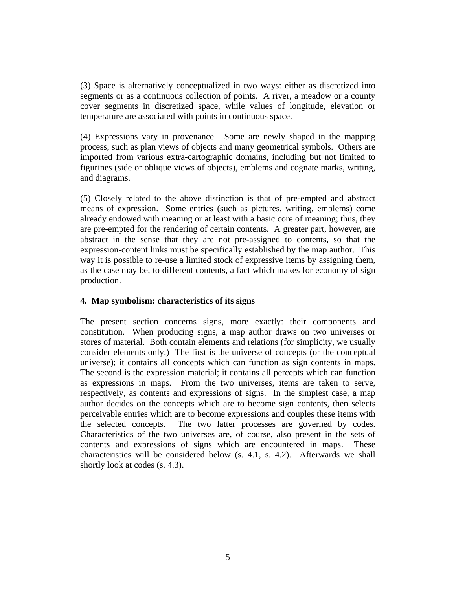(3) Space is alternatively conceptualized in two ways: either as discretized into segments or as a continuous collection of points. A river, a meadow or a county cover segments in discretized space, while values of longitude, elevation or temperature are associated with points in continuous space.

(4) Expressions vary in provenance. Some are newly shaped in the mapping process, such as plan views of objects and many geometrical symbols. Others are imported from various extra-cartographic domains, including but not limited to figurines (side or oblique views of objects), emblems and cognate marks, writing, and diagrams.

(5) Closely related to the above distinction is that of pre-empted and abstract means of expression. Some entries (such as pictures, writing, emblems) come already endowed with meaning or at least with a basic core of meaning; thus, they are pre-empted for the rendering of certain contents. A greater part, however, are abstract in the sense that they are not pre-assigned to contents, so that the expression-content links must be specifically established by the map author. This way it is possible to re-use a limited stock of expressive items by assigning them, as the case may be, to different contents, a fact which makes for economy of sign production.

## **4. Map symbolism: characteristics of its signs**

The present section concerns signs, more exactly: their components and constitution. When producing signs, a map author draws on two universes or stores of material. Both contain elements and relations (for simplicity, we usually consider elements only.) The first is the universe of concepts (or the conceptual universe); it contains all concepts which can function as sign contents in maps. The second is the expression material; it contains all percepts which can function as expressions in maps. From the two universes, items are taken to serve, respectively, as contents and expressions of signs. In the simplest case, a map author decides on the concepts which are to become sign contents, then selects perceivable entries which are to become expressions and couples these items with the selected concepts. The two latter processes are governed by codes. Characteristics of the two universes are, of course, also present in the sets of contents and expressions of signs which are encountered in maps. These characteristics will be considered below (s. 4.1, s. 4.2). Afterwards we shall shortly look at codes (s. 4.3).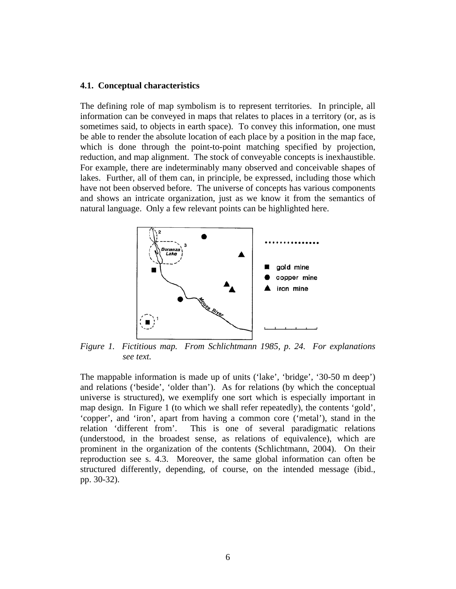#### **4.1. Conceptual characteristics**

The defining role of map symbolism is to represent territories. In principle, all information can be conveyed in maps that relates to places in a territory (or, as is sometimes said, to objects in earth space). To convey this information, one must be able to render the absolute location of each place by a position in the map face, which is done through the point-to-point matching specified by projection, reduction, and map alignment. The stock of conveyable concepts is inexhaustible. For example, there are indeterminably many observed and conceivable shapes of lakes. Further, all of them can, in principle, be expressed, including those which have not been observed before. The universe of concepts has various components and shows an intricate organization, just as we know it from the semantics of natural language. Only a few relevant points can be highlighted here.



*Figure 1. Fictitious map. From Schlichtmann 1985, p. 24. For explanations see text.* 

The mappable information is made up of units ('lake', 'bridge', '30-50 m deep') and relations ('beside', 'older than'). As for relations (by which the conceptual universe is structured), we exemplify one sort which is especially important in map design. In Figure 1 (to which we shall refer repeatedly), the contents 'gold', 'copper', and 'iron', apart from having a common core ('metal'), stand in the relation 'different from'. This is one of several paradigmatic relations (understood, in the broadest sense, as relations of equivalence), which are prominent in the organization of the contents (Schlichtmann, 2004). On their reproduction see s. 4.3. Moreover, the same global information can often be structured differently, depending, of course, on the intended message (ibid., pp. 30-32).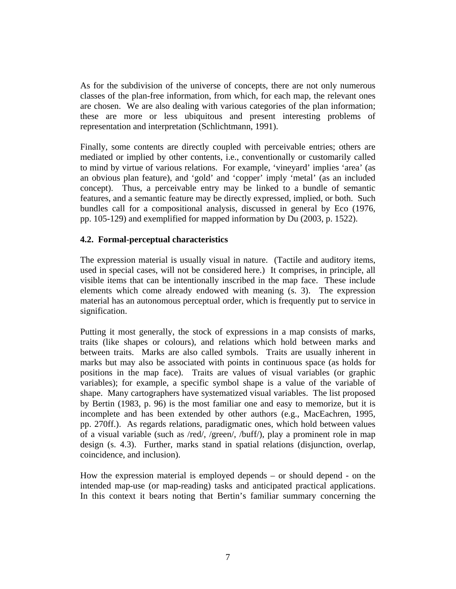As for the subdivision of the universe of concepts, there are not only numerous classes of the plan-free information, from which, for each map, the relevant ones are chosen. We are also dealing with various categories of the plan information; these are more or less ubiquitous and present interesting problems of representation and interpretation (Schlichtmann, 1991).

Finally, some contents are directly coupled with perceivable entries; others are mediated or implied by other contents, i.e., conventionally or customarily called to mind by virtue of various relations. For example, 'vineyard' implies 'area' (as an obvious plan feature), and 'gold' and 'copper' imply 'metal' (as an included concept). Thus, a perceivable entry may be linked to a bundle of semantic features, and a semantic feature may be directly expressed, implied, or both. Such bundles call for a compositional analysis, discussed in general by Eco (1976, pp. 105-129) and exemplified for mapped information by Du (2003, p. 1522).

# **4.2. Formal-perceptual characteristics**

The expression material is usually visual in nature. (Tactile and auditory items, used in special cases, will not be considered here.) It comprises, in principle, all visible items that can be intentionally inscribed in the map face. These include elements which come already endowed with meaning (s. 3). The expression material has an autonomous perceptual order, which is frequently put to service in signification.

Putting it most generally, the stock of expressions in a map consists of marks, traits (like shapes or colours), and relations which hold between marks and between traits. Marks are also called symbols. Traits are usually inherent in marks but may also be associated with points in continuous space (as holds for positions in the map face). Traits are values of visual variables (or graphic variables); for example, a specific symbol shape is a value of the variable of shape. Many cartographers have systematized visual variables. The list proposed by Bertin (1983, p. 96) is the most familiar one and easy to memorize, but it is incomplete and has been extended by other authors (e.g., MacEachren, 1995, pp. 270ff.). As regards relations, paradigmatic ones, which hold between values of a visual variable (such as /red/, /green/, /buff/), play a prominent role in map design (s. 4.3). Further, marks stand in spatial relations (disjunction, overlap, coincidence, and inclusion).

How the expression material is employed depends – or should depend - on the intended map-use (or map-reading) tasks and anticipated practical applications. In this context it bears noting that Bertin's familiar summary concerning the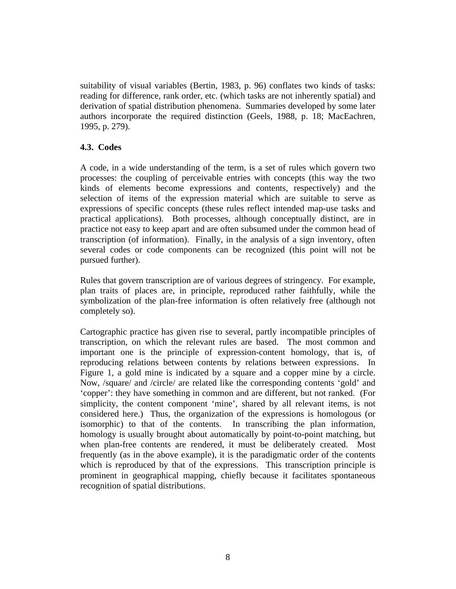suitability of visual variables (Bertin, 1983, p. 96) conflates two kinds of tasks: reading for difference, rank order, etc. (which tasks are not inherently spatial) and derivation of spatial distribution phenomena. Summaries developed by some later authors incorporate the required distinction (Geels, 1988, p. 18; MacEachren, 1995, p. 279).

# **4.3. Codes**

A code, in a wide understanding of the term, is a set of rules which govern two processes: the coupling of perceivable entries with concepts (this way the two kinds of elements become expressions and contents, respectively) and the selection of items of the expression material which are suitable to serve as expressions of specific concepts (these rules reflect intended map-use tasks and practical applications). Both processes, although conceptually distinct, are in practice not easy to keep apart and are often subsumed under the common head of transcription (of information). Finally, in the analysis of a sign inventory, often several codes or code components can be recognized (this point will not be pursued further).

Rules that govern transcription are of various degrees of stringency. For example, plan traits of places are, in principle, reproduced rather faithfully, while the symbolization of the plan-free information is often relatively free (although not completely so).

Cartographic practice has given rise to several, partly incompatible principles of transcription, on which the relevant rules are based. The most common and important one is the principle of expression-content homology, that is, of reproducing relations between contents by relations between expressions. In Figure 1, a gold mine is indicated by a square and a copper mine by a circle. Now, /square/ and /circle/ are related like the corresponding contents 'gold' and 'copper': they have something in common and are different, but not ranked. (For simplicity, the content component 'mine', shared by all relevant items, is not considered here.) Thus, the organization of the expressions is homologous (or isomorphic) to that of the contents. In transcribing the plan information, homology is usually brought about automatically by point-to-point matching, but when plan-free contents are rendered, it must be deliberately created. Most frequently (as in the above example), it is the paradigmatic order of the contents which is reproduced by that of the expressions. This transcription principle is prominent in geographical mapping, chiefly because it facilitates spontaneous recognition of spatial distributions.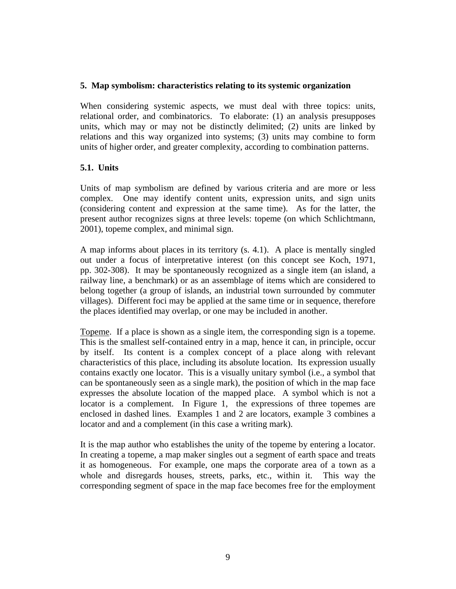#### **5. Map symbolism: characteristics relating to its systemic organization**

When considering systemic aspects, we must deal with three topics: units, relational order, and combinatorics. To elaborate: (1) an analysis presupposes units, which may or may not be distinctly delimited; (2) units are linked by relations and this way organized into systems; (3) units may combine to form units of higher order, and greater complexity, according to combination patterns.

# **5.1. Units**

Units of map symbolism are defined by various criteria and are more or less complex. One may identify content units, expression units, and sign units (considering content and expression at the same time). As for the latter, the present author recognizes signs at three levels: topeme (on which Schlichtmann, 2001), topeme complex, and minimal sign.

A map informs about places in its territory (s. 4.1). A place is mentally singled out under a focus of interpretative interest (on this concept see Koch, 1971, pp. 302-308). It may be spontaneously recognized as a single item (an island, a railway line, a benchmark) or as an assemblage of items which are considered to belong together (a group of islands, an industrial town surrounded by commuter villages). Different foci may be applied at the same time or in sequence, therefore the places identified may overlap, or one may be included in another.

Topeme. If a place is shown as a single item, the corresponding sign is a topeme. This is the smallest self-contained entry in a map, hence it can, in principle, occur by itself. Its content is a complex concept of a place along with relevant characteristics of this place, including its absolute location. Its expression usually contains exactly one locator. This is a visually unitary symbol (i.e., a symbol that can be spontaneously seen as a single mark), the position of which in the map face expresses the absolute location of the mapped place. A symbol which is not a locator is a complement. In Figure 1, the expressions of three topemes are enclosed in dashed lines. Examples 1 and 2 are locators, example 3 combines a locator and and a complement (in this case a writing mark).

It is the map author who establishes the unity of the topeme by entering a locator. In creating a topeme, a map maker singles out a segment of earth space and treats it as homogeneous. For example, one maps the corporate area of a town as a whole and disregards houses, streets, parks, etc., within it. This way the corresponding segment of space in the map face becomes free for the employment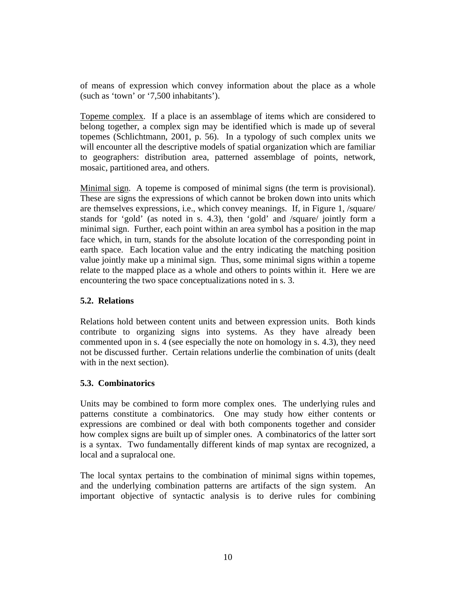of means of expression which convey information about the place as a whole (such as 'town' or '7,500 inhabitants').

Topeme complex. If a place is an assemblage of items which are considered to belong together, a complex sign may be identified which is made up of several topemes (Schlichtmann, 2001, p. 56). In a typology of such complex units we will encounter all the descriptive models of spatial organization which are familiar to geographers: distribution area, patterned assemblage of points, network, mosaic, partitioned area, and others.

Minimal sign. A topeme is composed of minimal signs (the term is provisional). These are signs the expressions of which cannot be broken down into units which are themselves expressions, i.e., which convey meanings. If, in Figure 1, /square/ stands for 'gold' (as noted in s. 4.3), then 'gold' and /square/ jointly form a minimal sign. Further, each point within an area symbol has a position in the map face which, in turn, stands for the absolute location of the corresponding point in earth space. Each location value and the entry indicating the matching position value jointly make up a minimal sign. Thus, some minimal signs within a topeme relate to the mapped place as a whole and others to points within it. Here we are encountering the two space conceptualizations noted in s. 3.

# **5.2. Relations**

Relations hold between content units and between expression units. Both kinds contribute to organizing signs into systems. As they have already been commented upon in s. 4 (see especially the note on homology in s. 4.3), they need not be discussed further. Certain relations underlie the combination of units (dealt with in the next section).

## **5.3. Combinatorics**

Units may be combined to form more complex ones. The underlying rules and patterns constitute a combinatorics. One may study how either contents or expressions are combined or deal with both components together and consider how complex signs are built up of simpler ones. A combinatorics of the latter sort is a syntax. Two fundamentally different kinds of map syntax are recognized, a local and a supralocal one.

The local syntax pertains to the combination of minimal signs within topemes, and the underlying combination patterns are artifacts of the sign system. An important objective of syntactic analysis is to derive rules for combining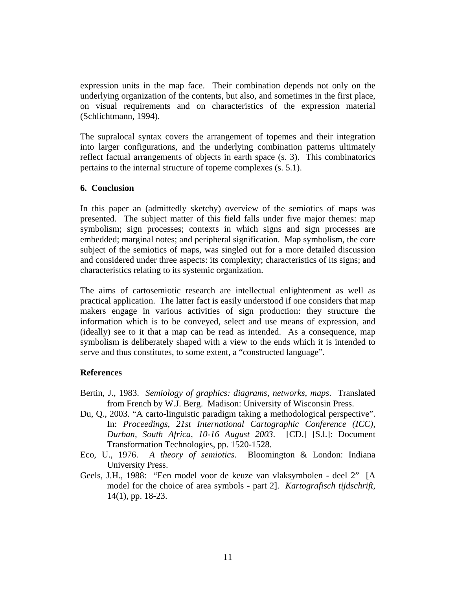expression units in the map face. Their combination depends not only on the underlying organization of the contents, but also, and sometimes in the first place, on visual requirements and on characteristics of the expression material (Schlichtmann, 1994).

The supralocal syntax covers the arrangement of topemes and their integration into larger configurations, and the underlying combination patterns ultimately reflect factual arrangements of objects in earth space (s. 3). This combinatorics pertains to the internal structure of topeme complexes (s. 5.1).

#### **6. Conclusion**

In this paper an (admittedly sketchy) overview of the semiotics of maps was presented. The subject matter of this field falls under five major themes: map symbolism; sign processes; contexts in which signs and sign processes are embedded; marginal notes; and peripheral signification. Map symbolism, the core subject of the semiotics of maps, was singled out for a more detailed discussion and considered under three aspects: its complexity; characteristics of its signs; and characteristics relating to its systemic organization.

The aims of cartosemiotic research are intellectual enlightenment as well as practical application. The latter fact is easily understood if one considers that map makers engage in various activities of sign production: they structure the information which is to be conveyed, select and use means of expression, and (ideally) see to it that a map can be read as intended. As a consequence, map symbolism is deliberately shaped with a view to the ends which it is intended to serve and thus constitutes, to some extent, a "constructed language".

## **References**

- Bertin, J., 1983. *Semiology of graphics: diagrams, networks, maps*. Translated from French by W.J. Berg. Madison: University of Wisconsin Press.
- Du, Q., 2003. "A carto-linguistic paradigm taking a methodological perspective". In: *Proceedings, 21st International Cartographic Conference (ICC), Durban, South Africa*, *10-16 August 2003*. [CD.] [S.l.]: Document Transformation Technologies, pp. 1520-1528.
- Eco, U., 1976. *A theory of semiotics*. Bloomington & London: Indiana University Press.
- Geels, J.H., 1988: "Een model voor de keuze van vlaksymbolen deel 2" [A model for the choice of area symbols - part 2]. *Kartografisch tijdschrift*, 14(1), pp. 18-23.